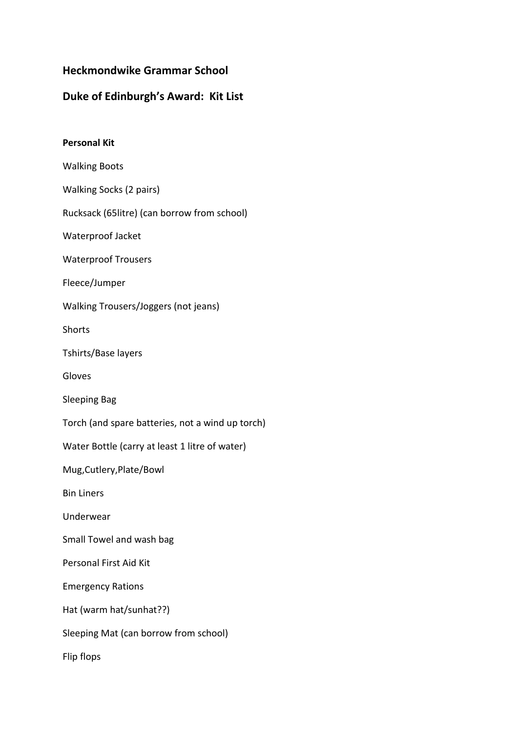## **Heckmondwike Grammar School**

## **Duke of Edinburgh's Award: Kit List**

| <b>Personal Kit</b>                              |
|--------------------------------------------------|
| <b>Walking Boots</b>                             |
| Walking Socks (2 pairs)                          |
| Rucksack (65litre) (can borrow from school)      |
| Waterproof Jacket                                |
| <b>Waterproof Trousers</b>                       |
| Fleece/Jumper                                    |
| Walking Trousers/Joggers (not jeans)             |
| <b>Shorts</b>                                    |
| Tshirts/Base layers                              |
| Gloves                                           |
| <b>Sleeping Bag</b>                              |
| Torch (and spare batteries, not a wind up torch) |
| Water Bottle (carry at least 1 litre of water)   |
| Mug, Cutlery, Plate/Bowl                         |
| <b>Bin Liners</b>                                |
| Underwear                                        |
| Small Towel and wash bag                         |
| Personal First Aid Kit                           |
| <b>Emergency Rations</b>                         |
| Hat (warm hat/sunhat??)                          |
| Sleeping Mat (can borrow from school)            |
| Flip flops                                       |